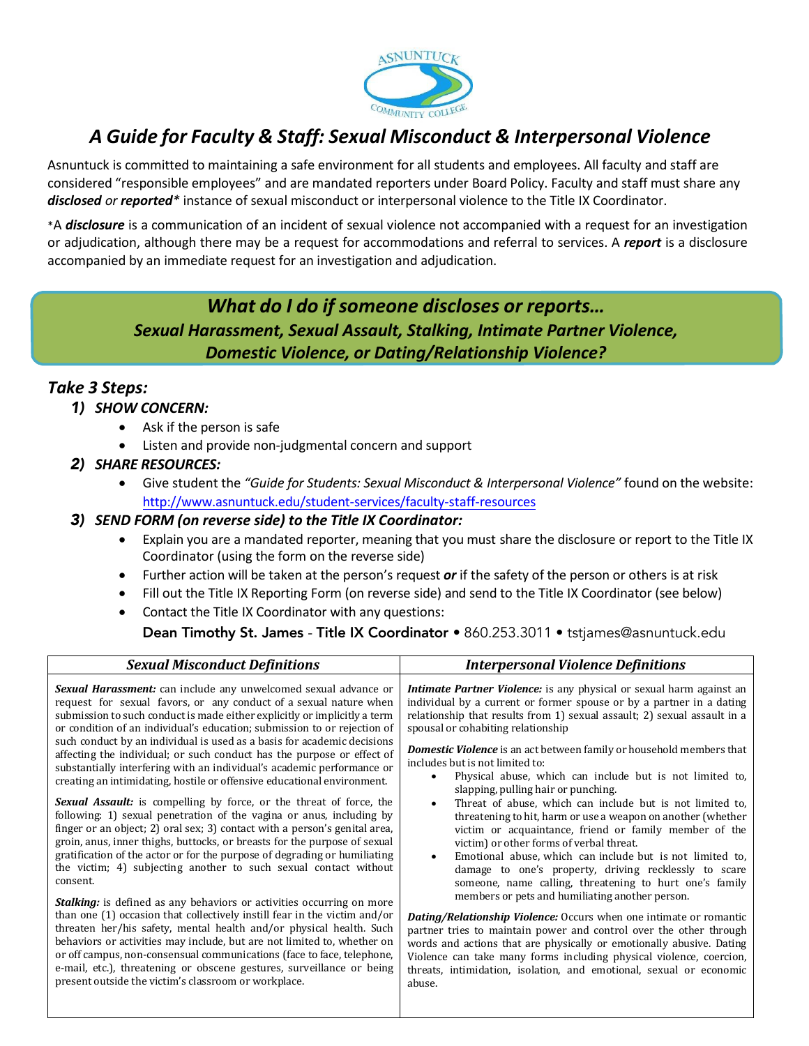

# *A Guide for Faculty & Staff: Sexual Misconduct & Interpersonal Violence*

Asnuntuck is committed to maintaining a safe environment for all students and employees. All faculty and staff are considered "responsible employees" and are mandated reporters under Board Policy. Faculty and staff must share any *disclosed or reported\** instance of sexual misconduct or interpersonal violence to the Title IX Coordinator.

\*A *disclosure* is a communication of an incident of sexual violence not accompanied with a request for an investigation or adjudication, although there may be a request for accommodations and referral to services. A *report* is a disclosure accompanied by an immediate request for an investigation and adjudication.

# *What do I do if someone discloses or reports… Sexual Harassment, Sexual Assault, Stalking, Intimate Partner Violence, Domestic Violence, or Dating/Relationship Violence?*

## *Take 3 Steps:*

#### 1) *SHOW CONCERN:*

- Ask if the person is safe
- Listen and provide non-judgmental concern and support

## 2) *SHARE RESOURCES:*

• Give student the *"Guide for Students: Sexual Misconduct & Interpersonal Violence"* found on the website: <http://www.asnuntuck.edu/student-services/faculty-staff-resources>

#### 3) *SEND FORM (on reverse side) to the Title IX Coordinator:*

- Explain you are a mandated reporter, meaning that you must share the disclosure or report to the Title IX Coordinator (using the form on the reverse side)
- Further action will be taken at the person's request *or* if the safety of the person or others is at risk
- Fill out the Title IX Reporting Form (on reverse side) and send to the Title IX Coordinator (see below)
- Contact the Title IX Coordinator with any questions:

#### Dean Timothy St. James - Title IX Coordinator • [860.253.3011 • tstjam](mailto:yzelinka@asnuntuck.edu)es@asnuntuck.edu

| <b>Sexual Misconduct Definitions</b>                                         | <b>Interpersonal Violence Definitions</b>                                   |  |
|------------------------------------------------------------------------------|-----------------------------------------------------------------------------|--|
| <b>Sexual Harassment:</b> can include any unwelcomed sexual advance or       | <i>Intimate Partner Violence:</i> is any physical or sexual harm against an |  |
| request for sexual favors, or any conduct of a sexual nature when            | individual by a current or former spouse or by a partner in a dating        |  |
| submission to such conduct is made either explicitly or implicitly a term    | relationship that results from 1) sexual assault; 2) sexual assault in a    |  |
| or condition of an individual's education; submission to or rejection of     | spousal or cohabiting relationship                                          |  |
| such conduct by an individual is used as a basis for academic decisions      | <b>Domestic Violence</b> is an act between family or household members that |  |
| affecting the individual; or such conduct has the purpose or effect of       | includes but is not limited to:                                             |  |
| substantially interfering with an individual's academic performance or       | Physical abuse, which can include but is not limited to,                    |  |
| creating an intimidating, hostile or offensive educational environment.      | slapping, pulling hair or punching.                                         |  |
| <b>Sexual Assault:</b> is compelling by force, or the threat of force, the   | Threat of abuse, which can include but is not limited to,                   |  |
| following: 1) sexual penetration of the vagina or anus, including by         | threatening to hit, harm or use a weapon on another (whether                |  |
| finger or an object; 2) oral sex; 3) contact with a person's genital area,   | victim or acquaintance, friend or family member of the                      |  |
| groin, anus, inner thighs, buttocks, or breasts for the purpose of sexual    | victim) or other forms of verbal threat.                                    |  |
| gratification of the actor or for the purpose of degrading or humiliating    | Emotional abuse, which can include but is not limited to,                   |  |
| the victim; 4) subjecting another to such sexual contact without             | damage to one's property, driving recklessly to scare                       |  |
| consent.                                                                     | someone, name calling, threatening to hurt one's family                     |  |
| <b>Stalking:</b> is defined as any behaviors or activities occurring on more | members or pets and humiliating another person.                             |  |
| than one (1) occasion that collectively instill fear in the victim and/or    | <b>Dating/Relationship Violence:</b> Occurs when one intimate or romantic   |  |
| threaten her/his safety, mental health and/or physical health. Such          | partner tries to maintain power and control over the other through          |  |
| behaviors or activities may include, but are not limited to, whether on      | words and actions that are physically or emotionally abusive. Dating        |  |
| or off campus, non-consensual communications (face to face, telephone,       | Violence can take many forms including physical violence, coercion,         |  |
| e-mail, etc.), threatening or obscene gestures, surveillance or being        | threats, intimidation, isolation, and emotional, sexual or economic         |  |
| present outside the victim's classroom or workplace.                         | abuse.                                                                      |  |